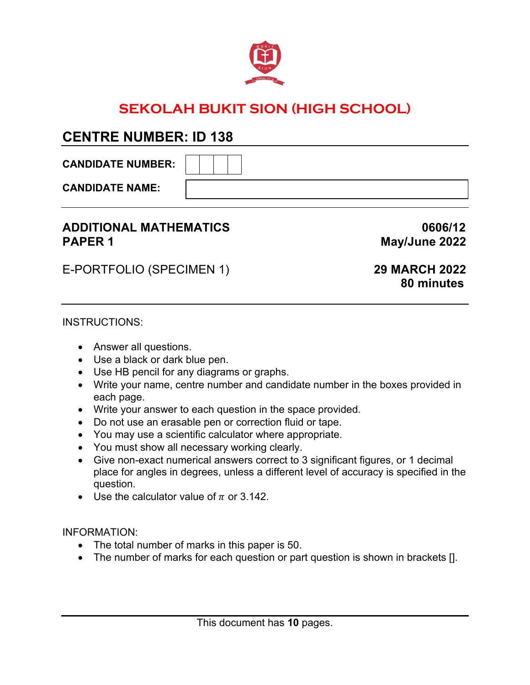

# **SEKOLAH BUKIT SION (HIGH SCHOOL)**

## **CENTRE NUMBER: ID 138**

**CANDIDATE NUMBER:** 

**CANDIDATE NAME:** 

## **ADDITIONAL MATHEMATICS 0606/12 PAPER 1** May/June 2022

E-PORTFOLIO (SPECIMEN 1) **29 MARCH 2022**

# **80 minutes**

#### INSTRUCTIONS:

- Answer all questions.
- Use a black or dark blue pen.
- Use HB pencil for any diagrams or graphs.
- Write your name, centre number and candidate number in the boxes provided in each page.
- Write your answer to each question in the space provided.
- Do not use an erasable pen or correction fluid or tape.
- You may use a scientific calculator where appropriate.
- You must show all necessary working clearly.
- Give non-exact numerical answers correct to 3 significant figures, or 1 decimal place for angles in degrees, unless a different level of accuracy is specified in the question.
- Use the calculator value of  $\pi$  or 3.142.

INFORMATION:

- The total number of marks in this paper is 50.
- The number of marks for each question or part question is shown in brackets [].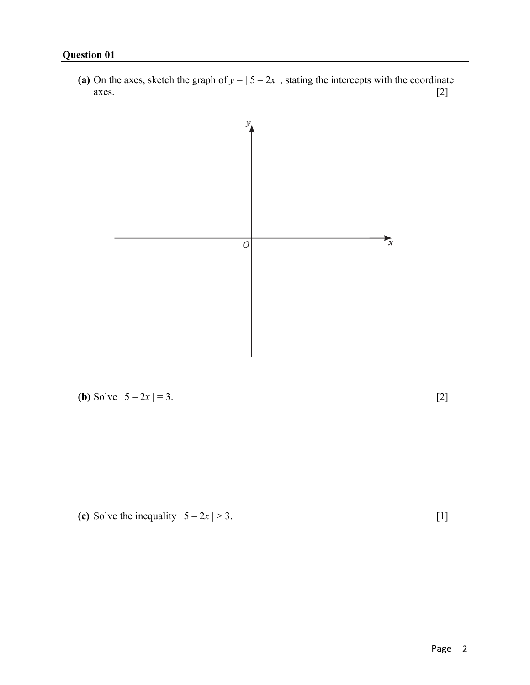(a) On the axes, sketch the graph of  $y = | 5 - 2x |$ , stating the intercepts with the coordinate axes.  $[2]$ 



# **(b)** Solve  $|5 - 2x| = 3$ . [2]



## **(c)** Solve the inequality  $|5 - 2x| \ge 3$ . [1]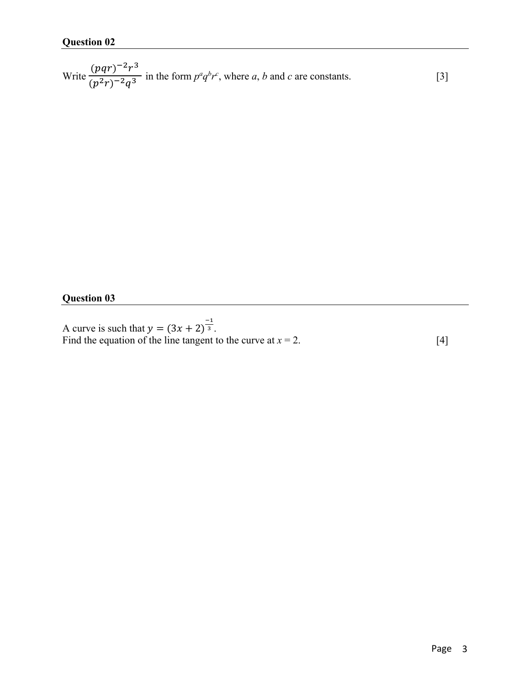Write  $\frac{(pqr)^{-2}r^3}{(r^2)^{-2}r^3}$  $\frac{(pq_1)^2}{(p^2r)^{-2}q^3}$  in the form  $p^aq^b r^c$ , where *a*, *b* and *c* are constants. [3]

#### **Question 03**

A curve is such that  $y = (3x + 2)^{\frac{-1}{3}}$ . Find the equation of the line tangent to the curve at  $x = 2$ . [4]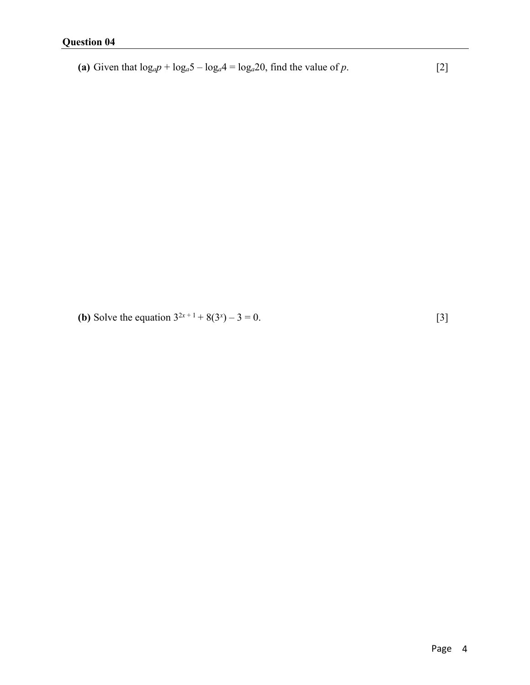(a) Given that  $log_a p + log_a 5 - log_a 4 = log_a 20$ , find the value of *p*. [2]

**(b)** Solve the equation  $3^{2x+1} + 8(3^x) - 3 = 0$ . [3]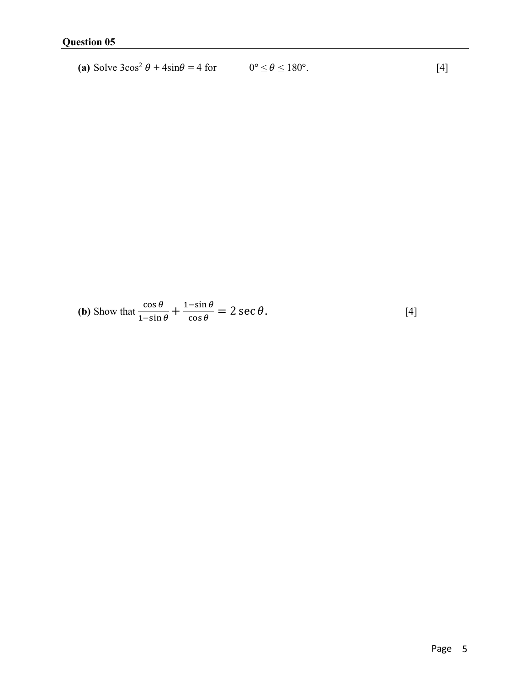(a) Solve 
$$
3\cos^2 \theta + 4\sin \theta = 4
$$
 for  $0^\circ \le \theta \le 180^\circ$ . [4]

**(b)** Show that 
$$
\frac{\cos \theta}{1-\sin \theta} + \frac{1-\sin \theta}{\cos \theta} = 2 \sec \theta
$$
. [4]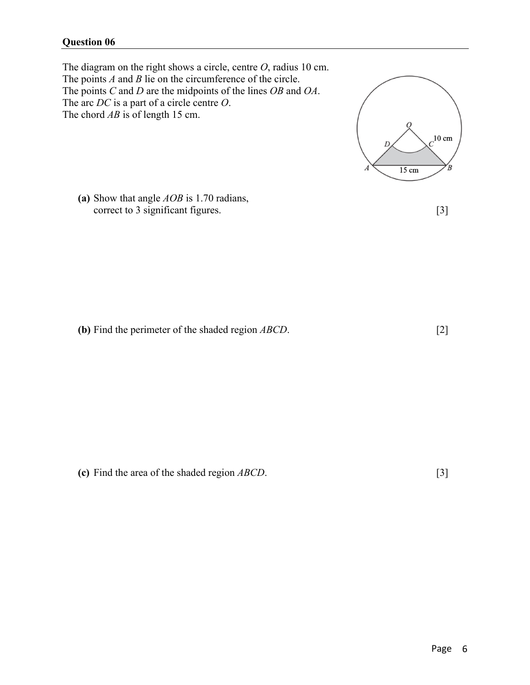#### **Question 06**

The diagram on the right shows a circle, centre *O*, radius 10 cm. The points *A* and *B* lie on the circumference of the circle. The points *C* and *D* are the midpoints of the lines *OB* and *OA*. The arc *DC* is a part of a circle centre *O*. The chord *AB* is of length 15 cm.



**(b)** Find the perimeter of the shaded region *ABCD*. [2]

 $10 \text{ cm}$ Έ  $15 \text{ cm}$ 

**(c)** Find the area of the shaded region *ABCD*. [3]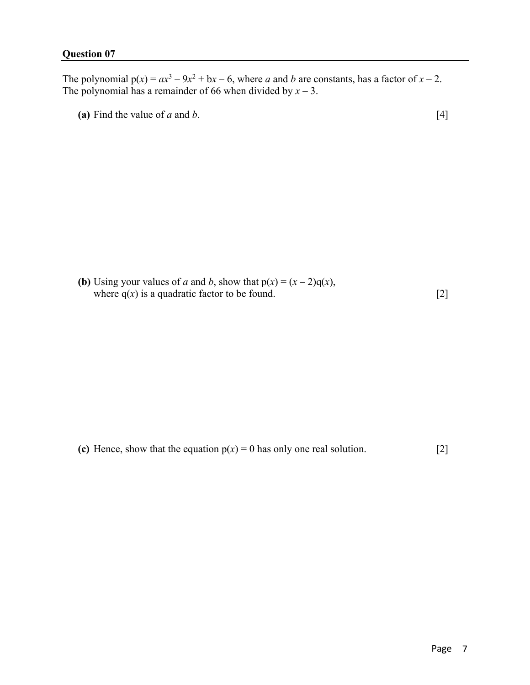The polynomial  $p(x) = ax^3 - 9x^2 + bx - 6$ , where *a* and *b* are constants, has a factor of  $x - 2$ . The polynomial has a remainder of 66 when divided by  $x - 3$ .

(a) Find the value of *a* and *b*.  $[4]$ 

**(b)** Using your values of *a* and *b*, show that  $p(x) = (x - 2)q(x)$ , where  $q(x)$  is a quadratic factor to be found. [2]

**(c)** Hence, show that the equation  $p(x) = 0$  has only one real solution. [2]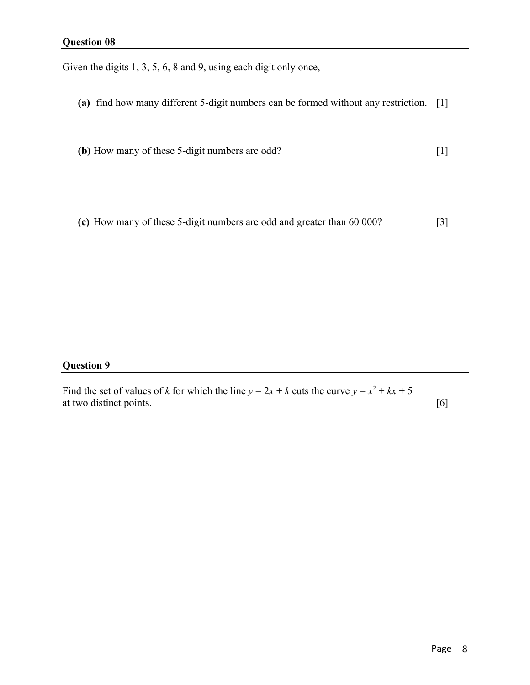Given the digits 1, 3, 5, 6, 8 and 9, using each digit only once,

- **(a)** find how many different 5-digit numbers can be formed without any restriction. [1]
- **(b)** How many of these 5-digit numbers are odd? [1]
- **(c)** How many of these 5-digit numbers are odd and greater than 60 000? [3]

#### **Question 9**

Find the set of values of *k* for which the line  $y = 2x + k$  cuts the curve  $y = x^2 + kx + 5$ at two distinct points. [6]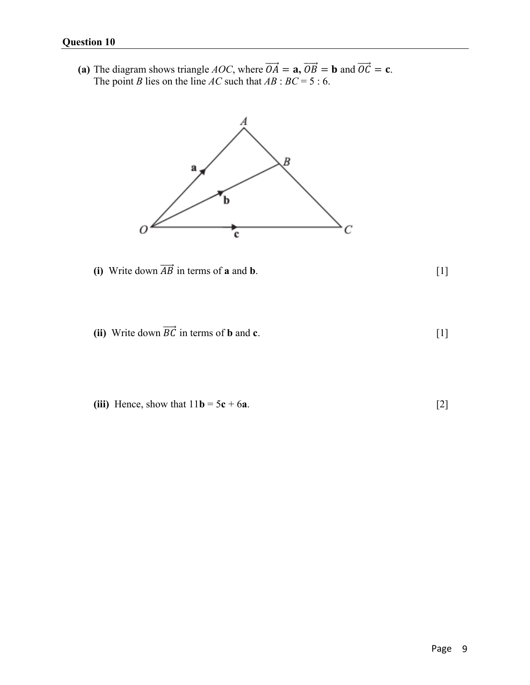(a) The diagram shows triangle *AOC*, where  $\overrightarrow{OA} = \mathbf{a}, \overrightarrow{OB} = \mathbf{b}$  and  $\overrightarrow{OC} = \mathbf{c}$ . The point *B* lies on the line *AC* such that  $AB : BC = 5 : 6$ .



(i) Write down  $\overrightarrow{AB}$  in terms of **a** and **b**. [1]

- (ii) Write down  $\overrightarrow{BC}$  in terms of **b** and **c**. [1]
- **(iii)** Hence, show that  $11b = 5c + 6a$ . [2]